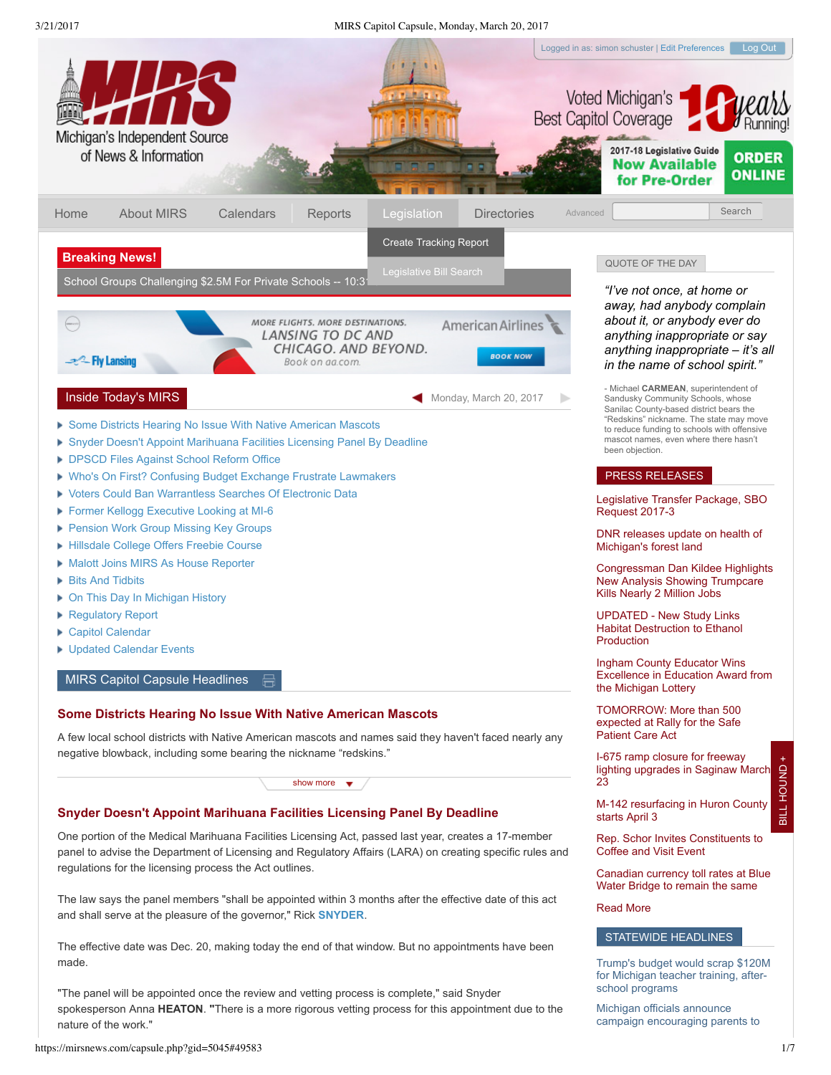## 3/21/2017 MIRS Capitol Capsule, Monday, March 20, 2017



https://mirsnews.com/capsule.php?gid=5045#49583 1/7

<span id="page-0-1"></span><span id="page-0-0"></span>nature of the work."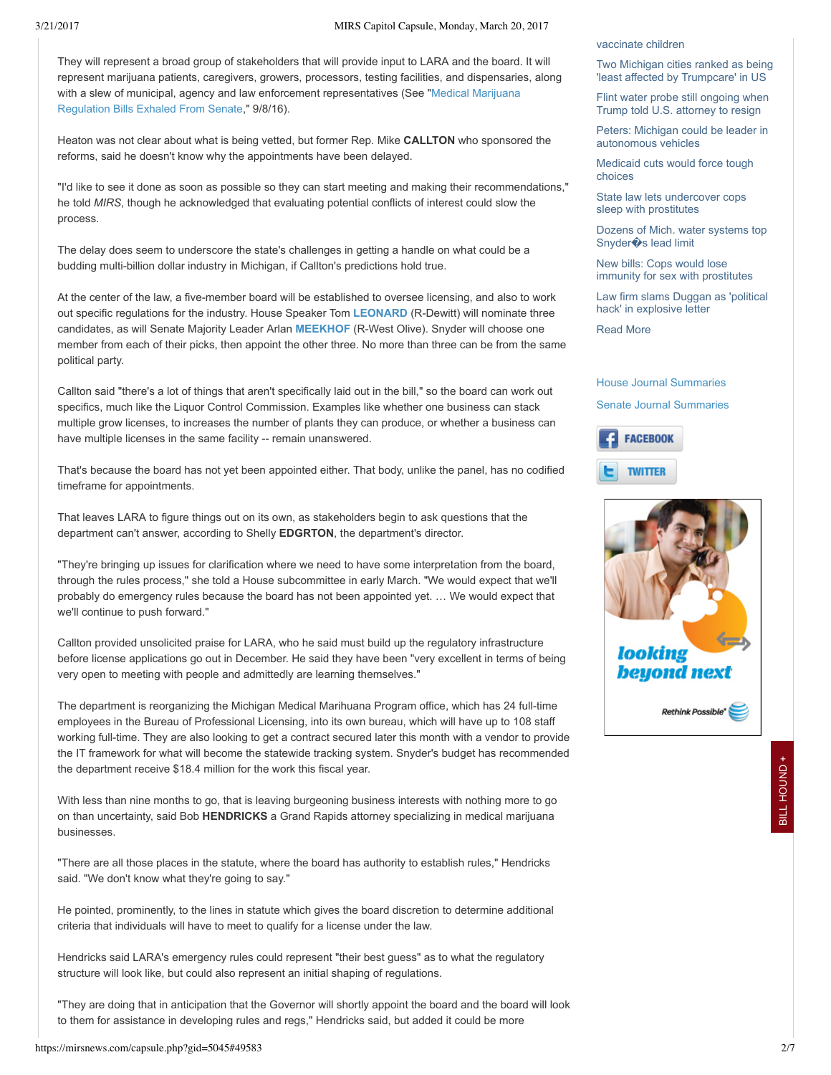### 3/21/2017 MIRS Capitol Capsule, Monday, March 20, 2017

They will represent a broad group of stakeholders that will provide input to LARA and the board. It will represent marijuana patients, caregivers, growers, processors, testing facilities, and dispensaries, along [with a slew of municipal, agency and law enforcement representatives \(See "Medical Marijuana](https://mirsnews.com/capsule.php?gid=4915#47811) Regulation Bills Exhaled From Senate," 9/8/16).

Heaton was not clear about what is being vetted, but former Rep. Mike **CALLTON** who sponsored the reforms, said he doesn't know why the appointments have been delayed.

"I'd like to see it done as soon as possible so they can start meeting and making their recommendations," he told *MIRS*, though he acknowledged that evaluating potential conflicts of interest could slow the process.

The delay does seem to underscore the state's challenges in getting a handle on what could be a budding multi-billion dollar industry in Michigan, if Callton's predictions hold true.

At the center of the law, a five-member board will be established to oversee licensing, and also to work out specific regulations for the industry. House Speaker Tom [LEONARD](https://mirsnews.com/leg_bio.php?lid=542) (R-Dewitt) will nominate three candidates, as will Senate Majority Leader Arlan [MEEKHOF](https://mirsnews.com/leg_bio.php?lid=446) (R-West Olive). Snyder will choose one member from each of their picks, then appoint the other three. No more than three can be from the same political party.

Callton said "there's a lot of things that aren't specifically laid out in the bill," so the board can work out specifics, much like the Liquor Control Commission. Examples like whether one business can stack multiple grow licenses, to increases the number of plants they can produce, or whether a business can have multiple licenses in the same facility -- remain unanswered.

That's because the board has not yet been appointed either. That body, unlike the panel, has no codified timeframe for appointments.

That leaves LARA to figure things out on its own, as stakeholders begin to ask questions that the department can't answer, according to Shelly **EDGRTON**, the department's director.

"They're bringing up issues for clarification where we need to have some interpretation from the board, through the rules process," she told a House subcommittee in early March. "We would expect that we'll probably do emergency rules because the board has not been appointed yet. … We would expect that we'll continue to push forward."

Callton provided unsolicited praise for LARA, who he said must build up the regulatory infrastructure before license applications go out in December. He said they have been "very excellent in terms of being very open to meeting with people and admittedly are learning themselves."

The department is reorganizing the Michigan Medical Marihuana Program office, which has 24 full-time employees in the Bureau of Professional Licensing, into its own bureau, which will have up to 108 staff working full-time. They are also looking to get a contract secured later this month with a vendor to provide the IT framework for what will become the statewide tracking system. Snyder's budget has recommended the department receive \$18.4 million for the work this fiscal year.

With less than nine months to go, that is leaving burgeoning business interests with nothing more to go on than uncertainty, said Bob **HENDRICKS** a Grand Rapids attorney specializing in medical marijuana businesses.

"There are all those places in the statute, where the board has authority to establish rules," Hendricks said. "We don't know what they're going to say."

He pointed, prominently, to the lines in statute which gives the board discretion to determine additional criteria that individuals will have to meet to qualify for a license under the law.

Hendricks said LARA's emergency rules could represent "their best guess" as to what the regulatory structure will look like, but could also represent an initial shaping of regulations.

"They are doing that in anticipation that the Governor will shortly appoint the board and the board will look to them for assistance in developing rules and regs," Hendricks said, but added it could be more

#### [vaccinate children](http://www.mlive.com/news/index.ssf/2017/03/michigan_officials_announce_ca.html#incart_river_index)

[Two Michigan cities ranked as being](http://www.mlive.com/news/index.ssf/2017/03/two_michigan_cities_named_amon.html#incart_river_index) 'least affected by Trumpcare' in US

[Flint water probe still ongoing when](http://www.mlive.com/news/flint/index.ssf/2017/03/mcquade_says_feds_criminal_inv.html#incart_2box_news_flint) Trump told U.S. attorney to resign

[Peters: Michigan could be leader in](http://www.detroitnews.com/story/business/autos/2017/03/20/gary-peters-driverless-cars/99420048/) autonomous vehicles

[Medicaid cuts would force tough](http://www.detroitnews.com/story/life/wellness/2017/03/20/medicaid-cuts-michigan/99398404/) choices

[State law lets undercover cops](http://www.detroitnews.com/story/news/politics/2017/03/20/cops-prostitutes/99424728/) sleep with prostitutes

[Dozens of Mich. water systems top](http://www.detroitnews.com/story/news/politics/2017/03/21/dozens-mich-water-systems-top-snyders-lead-limit/99434962/) Snyder�s lead limit

New bills: Cops would lose [immunity for sex with prostitutes](http://www.freep.com/story/news/politics/2017/03/18/cops-immunity-sex-prostitutes/99308634/)

[Law firm slams Duggan as 'political](http://www.freep.com/story/news/local/michigan/detroit/2017/03/20/explosive-jones-day-letter-slams-detroit-mayor-mike-duggan/99427040/) hack' in explosive letter

[Read More](https://mirsnews.com/topstories.php)

# [House Journal Summaries](https://mirsnews.com/house_action_report/all) [Senate Journal Summaries](https://mirsnews.com/senate_action_report/all)